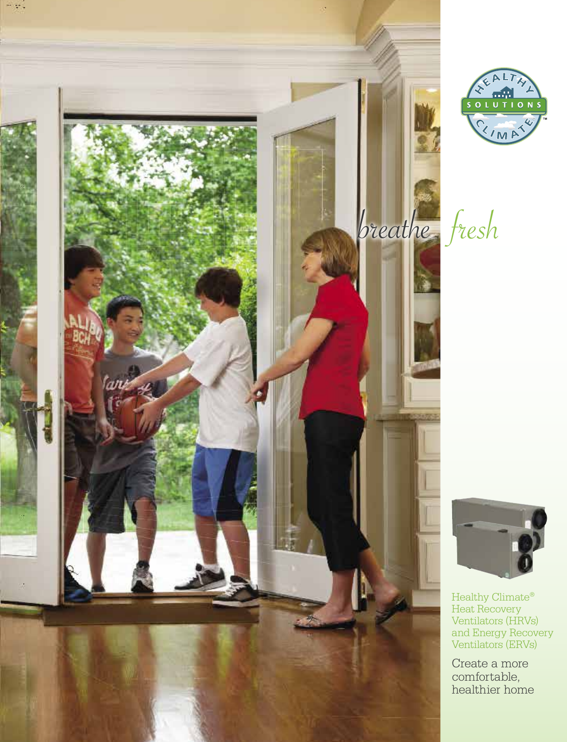





Healthy Climate® Heat Recovery Ventilators (HRVs) and Energy Recovery Ventilators (ERVs)

Create a more comfortable, healthier home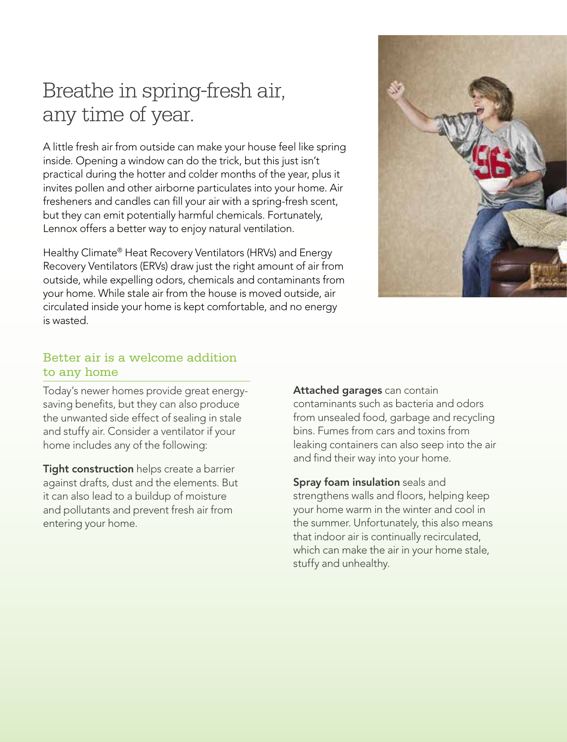# Breathe in spring-fresh air, any time of year.

A little fresh air from outside can make your house feel like spring inside. Opening a window can do the trick, but this just isn't practical during the hotter and colder months of the year, plus it invites pollen and other airborne particulates into your home. Air fresheners and candles can fill your air with a spring-fresh scent, but they can emit potentially harmful chemicals. Fortunately, Lennox offers a better way to enjoy natural ventilation.

Healthy Climate® Heat Recovery Ventilators (HRVs) and Energy Recovery Ventilators (ERVs) draw just the right amount of air from outside, while expelling odors, chemicals and contaminants from your home. While stale air from the house is moved outside, air circulated inside your home is kept comfortable, and no energy is wasted.



## Better air is a welcome addition to any home

Today's newer homes provide great energysaving benefits, but they can also produce the unwanted side effect of sealing in stale and stuffy air. Consider a ventilator if your home includes any of the following:

Tight construction helps create a barrier against drafts, dust and the elements. But it can also lead to a buildup of moisture and pollutants and prevent fresh air from entering your home.

Attached garages can contain contaminants such as bacteria and odors from unsealed food, garbage and recycling bins. Fumes from cars and toxins from leaking containers can also seep into the air and find their way into your home.

Spray foam insulation seals and strengthens walls and floors, helping keep your home warm in the winter and cool in the summer. Unfortunately, this also means that indoor air is continually recirculated, which can make the air in your home stale, stuffy and unhealthy.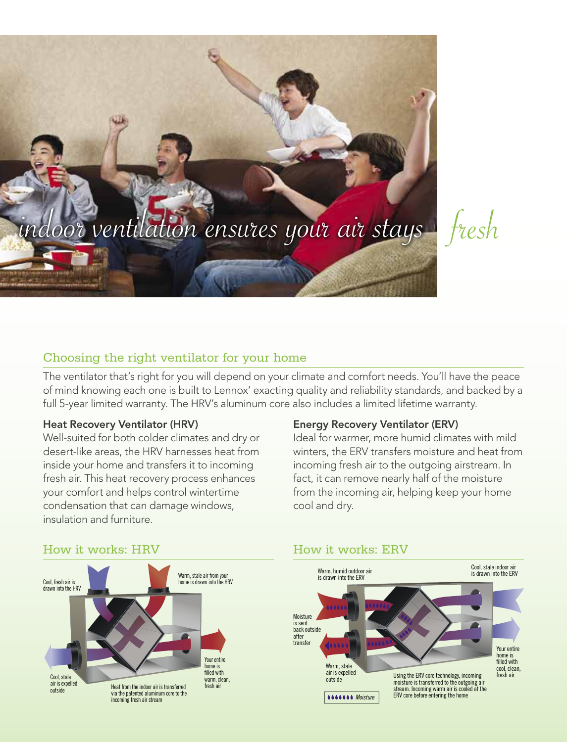

# Choosing the right ventilator for your home

The ventilator that's right for you will depend on your climate and comfort needs. You'll have the peace of mind knowing each one is built to Lennox' exacting quality and reliability standards, and backed by a full 5-year limited warranty. The HRV's aluminum core also includes a limited lifetime warranty.

#### Heat Recovery Ventilator (HRV)

Well-suited for both colder climates and dry or desert-like areas, the HRV harnesses heat from inside your home and transfers it to incoming fresh air. This heat recovery process enhances your comfort and helps control wintertime condensation that can damage windows, insulation and furniture.

#### Energy Recovery Ventilator (ERV)

Ideal for warmer, more humid climates with mild winters, the ERV transfers moisture and heat from incoming fresh air to the outgoing airstream. In fact, it can remove nearly half of the moisture from the incoming air, helping keep your home cool and dry.



#### How it works: ERV